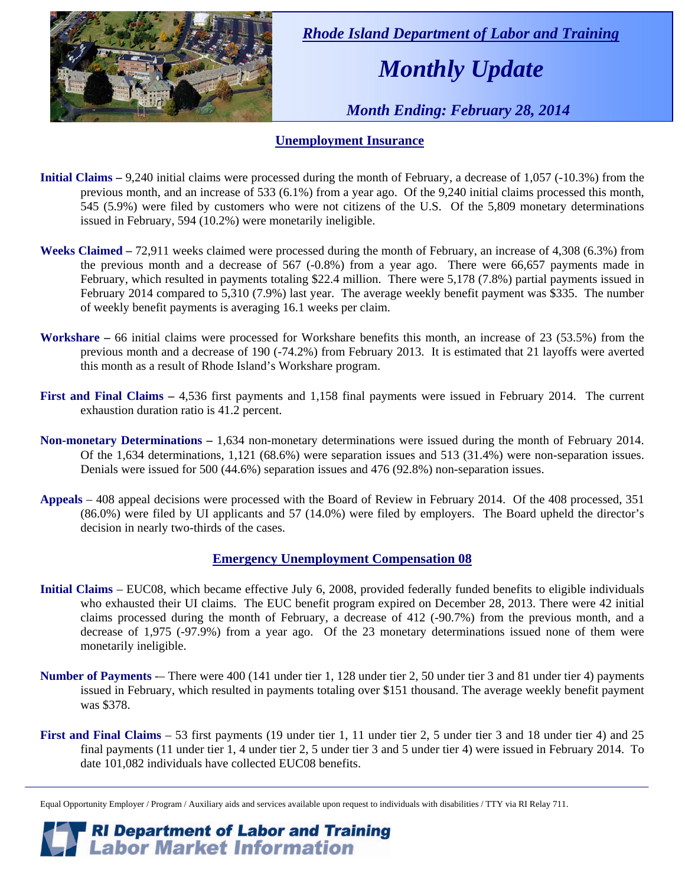

 *Rhode Island Department of Labor and Training* 

# *Monthly Update*

 *Month Ending: February 28, 2014* 

#### **Unemployment Insurance**

- **Initial Claims** 9,240 initial claims were processed during the month of February, a decrease of 1,057 (-10.3%) from the previous month, and an increase of 533 (6.1%) from a year ago. Of the 9,240 initial claims processed this month, 545 (5.9%) were filed by customers who were not citizens of the U.S. Of the 5,809 monetary determinations issued in February, 594 (10.2%) were monetarily ineligible.
- **Weeks Claimed** 72,911 weeks claimed were processed during the month of February, an increase of 4,308 (6.3%) from the previous month and a decrease of 567 (-0.8%) from a year ago. There were 66,657 payments made in February, which resulted in payments totaling \$22.4 million. There were 5,178 (7.8%) partial payments issued in February 2014 compared to 5,310 (7.9%) last year. The average weekly benefit payment was \$335. The number of weekly benefit payments is averaging 16.1 weeks per claim.
- **Workshare –** 66 initial claims were processed for Workshare benefits this month, an increase of 23 (53.5%) from the previous month and a decrease of 190 (-74.2%) from February 2013. It is estimated that 21 layoffs were averted this month as a result of Rhode Island's Workshare program.
- **First and Final Claims –** 4,536 first payments and 1,158 final payments were issued in February 2014. The current exhaustion duration ratio is 41.2 percent.
- **Non-monetary Determinations –** 1,634 non-monetary determinations were issued during the month of February 2014. Of the 1,634 determinations, 1,121 (68.6%) were separation issues and 513 (31.4%) were non-separation issues. Denials were issued for 500 (44.6%) separation issues and 476 (92.8%) non-separation issues.
- **Appeals** 408 appeal decisions were processed with the Board of Review in February 2014. Of the 408 processed, 351 (86.0%) were filed by UI applicants and 57 (14.0%) were filed by employers. The Board upheld the director's decision in nearly two-thirds of the cases.

#### **Emergency Unemployment Compensation 08**

- **Initial Claims**  EUC08, which became effective July 6, 2008, provided federally funded benefits to eligible individuals who exhausted their UI claims. The EUC benefit program expired on December 28, 2013. There were 42 initial claims processed during the month of February, a decrease of 412 (-90.7%) from the previous month, and a decrease of 1,975 (-97.9%) from a year ago. Of the 23 monetary determinations issued none of them were monetarily ineligible.
- **Number of Payments** -– There were 400 (141 under tier 1, 128 under tier 2, 50 under tier 3 and 81 under tier 4) payments issued in February, which resulted in payments totaling over \$151 thousand. The average weekly benefit payment was \$378.
- **First and Final Claims**  53 first payments (19 under tier 1, 11 under tier 2, 5 under tier 3 and 18 under tier 4) and 25 final payments (11 under tier 1, 4 under tier 2, 5 under tier 3 and 5 under tier 4) were issued in February 2014. To date 101,082 individuals have collected EUC08 benefits.

Equal Opportunity Employer / Program / Auxiliary aids and services available upon request to individuals with disabilities / TTY via RI Relay 711.